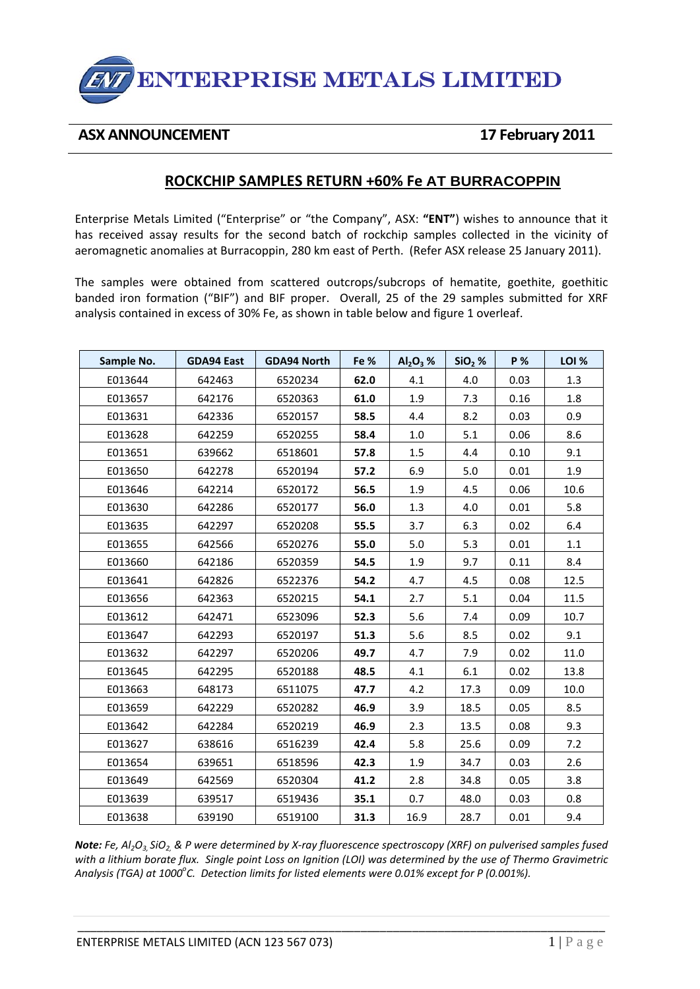

## **ASX ANNOUNCEMENT 17 February 2011**

## **ROCKCHIP SAMPLES RETURN +60% Fe AT BURRACOPPIN**

Enterprise Metals Limited ("Enterprise" or "the Company", ASX: **"ENT"**) wishes to announce that it has received assay results for the second batch of rockchip samples collected in the vicinity of aeromagnetic anomalies at Burracoppin, 280 km east of Perth. (Refer ASX release 25 January 2011).

The samples were obtained from scattered outcrops/subcrops of hematite, goethite, goethitic banded iron formation ("BIF") and BIF proper. Overall, 25 of the 29 samples submitted for XRF analysis contained in excess of 30% Fe, as shown in table below and figure 1 overleaf.

| Sample No. | <b>GDA94 East</b> | <b>GDA94 North</b> | Fe % | $Al2O3$ % | $SiO2$ % | <b>P</b> % | <b>LOI %</b> |
|------------|-------------------|--------------------|------|-----------|----------|------------|--------------|
| E013644    | 642463            | 6520234            | 62.0 | 4.1       | 4.0      | 0.03       | 1.3          |
| E013657    | 642176            | 6520363            | 61.0 | 1.9       | 7.3      | 0.16       | 1.8          |
| E013631    | 642336            | 6520157            | 58.5 | 4.4       | 8.2      | 0.03       | 0.9          |
| E013628    | 642259            | 6520255            | 58.4 | $1.0\,$   | 5.1      | 0.06       | 8.6          |
| E013651    | 639662            | 6518601            | 57.8 | 1.5       | 4.4      | 0.10       | 9.1          |
| E013650    | 642278            | 6520194            | 57.2 | 6.9       | 5.0      | 0.01       | 1.9          |
| E013646    | 642214            | 6520172            | 56.5 | 1.9       | 4.5      | 0.06       | 10.6         |
| E013630    | 642286            | 6520177            | 56.0 | 1.3       | 4.0      | 0.01       | 5.8          |
| E013635    | 642297            | 6520208            | 55.5 | 3.7       | 6.3      | 0.02       | 6.4          |
| E013655    | 642566            | 6520276            | 55.0 | 5.0       | 5.3      | 0.01       | 1.1          |
| E013660    | 642186            | 6520359            | 54.5 | 1.9       | 9.7      | 0.11       | 8.4          |
| E013641    | 642826            | 6522376            | 54.2 | 4.7       | 4.5      | 0.08       | 12.5         |
| E013656    | 642363            | 6520215            | 54.1 | 2.7       | 5.1      | 0.04       | 11.5         |
| E013612    | 642471            | 6523096            | 52.3 | 5.6       | 7.4      | 0.09       | 10.7         |
| E013647    | 642293            | 6520197            | 51.3 | 5.6       | 8.5      | 0.02       | 9.1          |
| E013632    | 642297            | 6520206            | 49.7 | 4.7       | 7.9      | 0.02       | 11.0         |
| E013645    | 642295            | 6520188            | 48.5 | 4.1       | 6.1      | 0.02       | 13.8         |
| E013663    | 648173            | 6511075            | 47.7 | 4.2       | 17.3     | 0.09       | 10.0         |
| E013659    | 642229            | 6520282            | 46.9 | 3.9       | 18.5     | 0.05       | 8.5          |
| E013642    | 642284            | 6520219            | 46.9 | 2.3       | 13.5     | 0.08       | 9.3          |
| E013627    | 638616            | 6516239            | 42.4 | 5.8       | 25.6     | 0.09       | 7.2          |
| E013654    | 639651            | 6518596            | 42.3 | 1.9       | 34.7     | 0.03       | 2.6          |
| E013649    | 642569            | 6520304            | 41.2 | 2.8       | 34.8     | 0.05       | 3.8          |
| E013639    | 639517            | 6519436            | 35.1 | 0.7       | 48.0     | 0.03       | 0.8          |
| E013638    | 639190            | 6519100            | 31.3 | 16.9      | 28.7     | 0.01       | 9.4          |

Note: Fe, Al<sub>2</sub>O<sub>3</sub> SiO<sub>2</sub> & P were determined by X-ray fluorescence spectroscopy (XRF) on pulverised samples fused with a lithium borate flux. Single point Loss on Ignition (LOI) was determined by the use of Thermo Gravimetric *Analysis (TGA) at 1000<sup>o</sup> C. Detection limits for listed elements were 0.01% except for P (0.001%).*

\_\_\_\_\_\_\_\_\_\_\_\_\_\_\_\_\_\_\_\_\_\_\_\_\_\_\_\_\_\_\_\_\_\_\_\_\_\_\_\_\_\_\_\_\_\_\_\_\_\_\_\_\_\_\_\_\_\_\_\_\_\_\_\_\_\_\_\_\_\_\_\_\_\_\_\_\_\_\_\_\_\_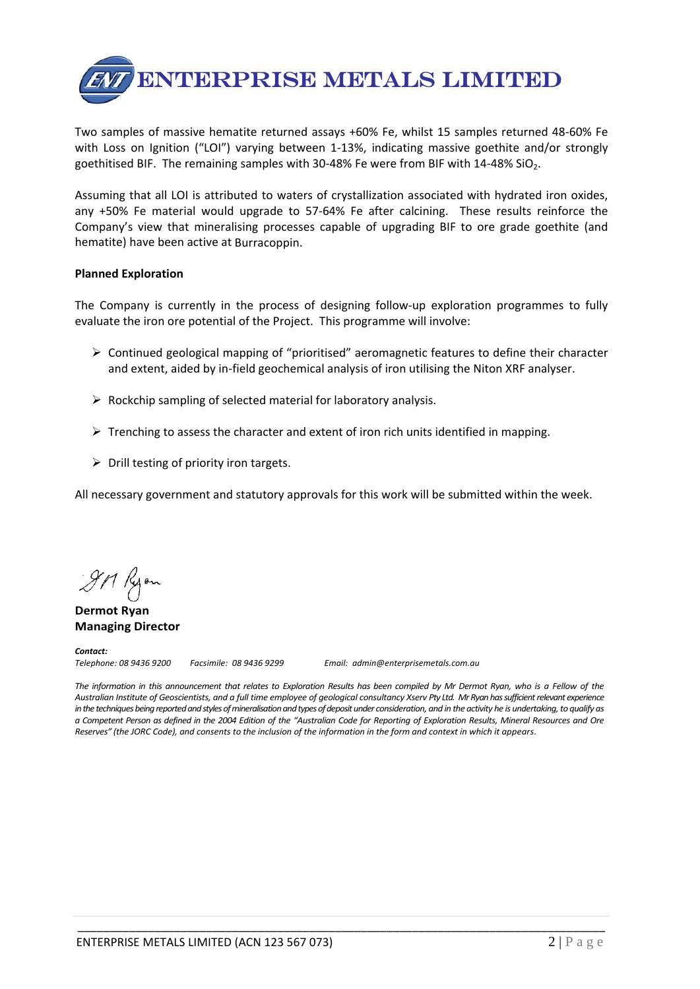

Two samples of massive hematite returned assays +60% Fe, whilst 15 samples returned 48‐60% Fe with Loss on Ignition ("LOI") varying between 1-13%, indicating massive goethite and/or strongly goethitised BIF. The remaining samples with 30-48% Fe were from BIF with  $14-48\%$  SiO<sub>2</sub>.

Assuming that all LOI is attributed to waters of crystallization associated with hydrated iron oxides, any +50% Fe material would upgrade to 57-64% Fe after calcining. These results reinforce the Company's view that mineralising processes capable of upgrading BIF to ore grade goethite (and hematite) have been active at Burracoppin.

## **Planned Exploration**

The Company is currently in the process of designing follow‐up exploration programmes to fully evaluate the iron ore potential of the Project. This programme will involve:

- $\triangleright$  Continued geological mapping of "prioritised" aeromagnetic features to define their character and extent, aided by in‐field geochemical analysis of iron utilising the Niton XRF analyser.
- $\triangleright$  Rockchip sampling of selected material for laboratory analysis.
- $\triangleright$  Trenching to assess the character and extent of iron rich units identified in mapping.
- $\triangleright$  Drill testing of priority iron targets.

All necessary government and statutory approvals for this work will be submitted within the week.

911 Ryan

**Dermot Ryan Managing Director**

**Contact:**<br>Telephone: 08 9436 9200

*Telephone: 08 9436 9200 Facsimile: 08 9436 9299 Email: admin@enterprisemetals.com.au*

The information in this announcement that relates to Exploration Results has been compiled by Mr Dermot Ryan, who is a Fellow of the Australian Institute of Geoscientists, and a full time employee of geological consultancy Xserv Pty Ltd. Mr Ryan has sufficient relevant experience *inthetechniquesbeingreportedandstylesofmineralisationandtypesofdepositunder consideration, and in the activity he is undertaking,to qualify as* a Competent Person as defined in the 2004 Edition of the "Australian Code for Reporting of Exploration Results, Mineral Resources and Ore Reserves" (the JORC Code), and consents to the inclusion of the information in the form and context in which it appears.

\_\_\_\_\_\_\_\_\_\_\_\_\_\_\_\_\_\_\_\_\_\_\_\_\_\_\_\_\_\_\_\_\_\_\_\_\_\_\_\_\_\_\_\_\_\_\_\_\_\_\_\_\_\_\_\_\_\_\_\_\_\_\_\_\_\_\_\_\_\_\_\_\_\_\_\_\_\_\_\_\_\_